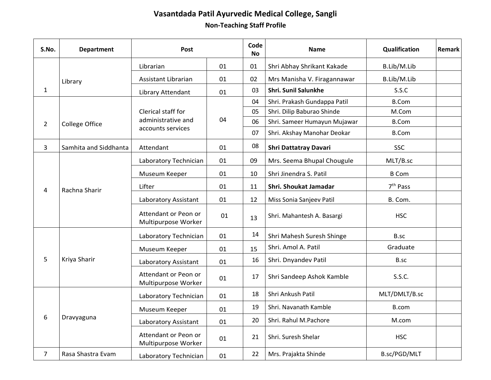## **Vasantdada Patil Ayurvedic Medical College, Sangli Non-Teaching Staff Profile**

| S.No.          | <b>Department</b>     | Post                                                          |    | Code<br><b>No</b> | <b>Name</b>                  | Qualification        | Remark |
|----------------|-----------------------|---------------------------------------------------------------|----|-------------------|------------------------------|----------------------|--------|
|                |                       | Librarian                                                     | 01 | 01                | Shri Abhay Shrikant Kakade   | B.Lib/M.Lib          |        |
|                | Library               | <b>Assistant Librarian</b>                                    | 01 | 02                | Mrs Manisha V. Firagannawar  | B.Lib/M.Lib          |        |
| $\mathbf{1}$   |                       | Library Attendant                                             | 01 | 03                | <b>Shri. Sunil Salunkhe</b>  | S.S.C                |        |
| $\overline{2}$ | <b>College Office</b> | Clerical staff for<br>administrative and<br>accounts services | 04 | 04                | Shri. Prakash Gundappa Patil | <b>B.Com</b>         |        |
|                |                       |                                                               |    | 05                | Shri. Dilip Baburao Shinde   | M.Com                |        |
|                |                       |                                                               |    | 06                | Shri. Sameer Humayun Mujawar | <b>B.Com</b>         |        |
|                |                       |                                                               |    | 07                | Shri. Akshay Manohar Deokar  | <b>B.Com</b>         |        |
| 3              | Samhita and Siddhanta | Attendant                                                     | 01 | 08                | Shri Dattatray Davari        | <b>SSC</b>           |        |
| 4              | Rachna Sharir         | Laboratory Technician                                         | 01 | 09                | Mrs. Seema Bhupal Chougule   | MLT/B.sc             |        |
|                |                       | Museum Keeper                                                 | 01 | 10                | Shri Jinendra S. Patil       | <b>B</b> Com         |        |
|                |                       | Lifter                                                        | 01 | 11                | Shri. Shoukat Jamadar        | 7 <sup>th</sup> Pass |        |
|                |                       | Laboratory Assistant                                          | 01 | 12                | Miss Sonia Sanjeev Patil     | B. Com.              |        |
|                |                       | Attendant or Peon or<br>Multipurpose Worker                   | 01 | 13                | Shri. Mahantesh A. Basargi   | <b>HSC</b>           |        |
| 5              | Kriya Sharir          | Laboratory Technician                                         | 01 | 14                | Shri Mahesh Suresh Shinge    | B.sc                 |        |
|                |                       | Museum Keeper                                                 | 01 | 15                | Shri. Amol A. Patil          | Graduate             |        |
|                |                       | Laboratory Assistant                                          | 01 | 16                | Shri. Dnyandev Patil         | B.sc                 |        |
|                |                       | Attendant or Peon or<br>Multipurpose Worker                   | 01 | 17                | Shri Sandeep Ashok Kamble    | S.S.C.               |        |
| 6              | Dravyaguna            | Laboratory Technician                                         | 01 | 18                | Shri Ankush Patil            | MLT/DMLT/B.sc        |        |
|                |                       | Museum Keeper                                                 | 01 | 19                | Shri. Navanath Kamble        | B.com                |        |
|                |                       | Laboratory Assistant                                          | 01 | 20                | Shri. Rahul M.Pachore        | M.com                |        |
|                |                       | Attendant or Peon or<br>Multipurpose Worker                   | 01 | 21                | Shri. Suresh Shelar          | <b>HSC</b>           |        |
| $\overline{7}$ | Rasa Shastra Evam     | Laboratory Technician                                         | 01 | 22                | Mrs. Prajakta Shinde         | B.sc/PGD/MLT         |        |